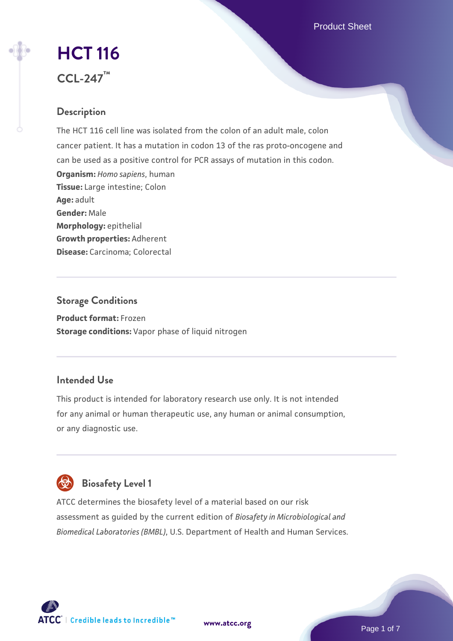Product Sheet

# **[HCT 116](https://www.atcc.org/products/ccl-247) CCL-247™**

# **Description**

The HCT 116 cell line was isolated from the colon of an adult male, colon cancer patient. It has a mutation in codon 13 of the ras proto-oncogene and can be used as a positive control for PCR assays of mutation in this codon. **Organism:** *Homo sapiens*, human **Tissue:** Large intestine; Colon **Age:** adult **Gender:** Male **Morphology:** epithelial **Growth properties:** Adherent **Disease:** Carcinoma; Colorectal

# **Storage Conditions Product format:** Frozen **Storage conditions:** Vapor phase of liquid nitrogen

# **Intended Use**

This product is intended for laboratory research use only. It is not intended for any animal or human therapeutic use, any human or animal consumption, or any diagnostic use.



# **Biosafety Level 1**

ATCC determines the biosafety level of a material based on our risk assessment as guided by the current edition of *Biosafety in Microbiological and Biomedical Laboratories (BMBL)*, U.S. Department of Health and Human Services.

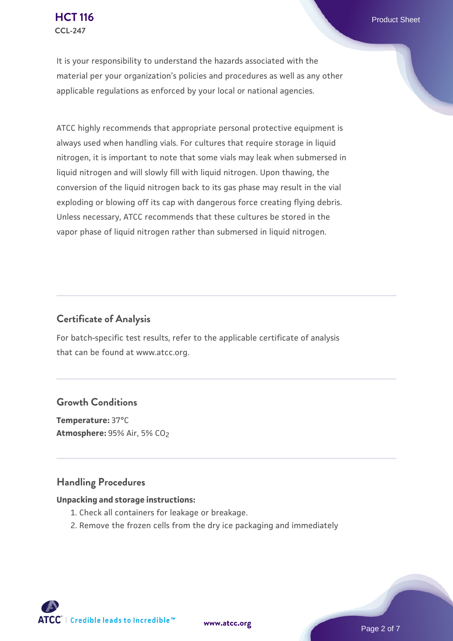It is your responsibility to understand the hazards associated with the material per your organization's policies and procedures as well as any other applicable regulations as enforced by your local or national agencies.

ATCC highly recommends that appropriate personal protective equipment is always used when handling vials. For cultures that require storage in liquid nitrogen, it is important to note that some vials may leak when submersed in liquid nitrogen and will slowly fill with liquid nitrogen. Upon thawing, the conversion of the liquid nitrogen back to its gas phase may result in the vial exploding or blowing off its cap with dangerous force creating flying debris. Unless necessary, ATCC recommends that these cultures be stored in the vapor phase of liquid nitrogen rather than submersed in liquid nitrogen.

### **Certificate of Analysis**

For batch-specific test results, refer to the applicable certificate of analysis that can be found at www.atcc.org.

### **Growth Conditions**

**Temperature:** 37°C **Atmosphere: 95% Air, 5% CO<sub>2</sub>** 

### **Handling Procedures**

#### **Unpacking and storage instructions:**

- 1. Check all containers for leakage or breakage.
- 2. Remove the frozen cells from the dry ice packaging and immediately

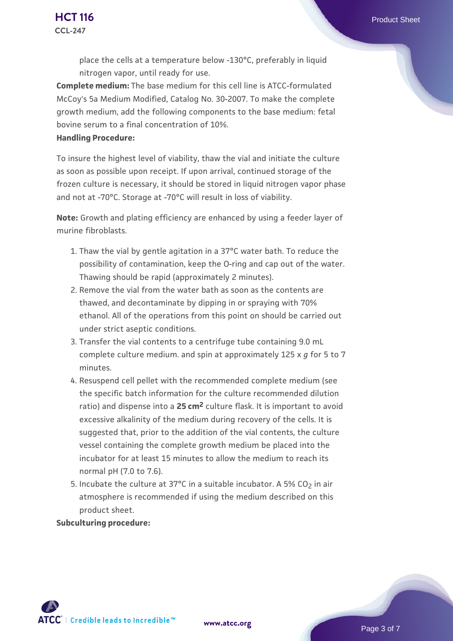place the cells at a temperature below -130°C, preferably in liquid nitrogen vapor, until ready for use.

**Complete medium:** The base medium for this cell line is ATCC-formulated McCoy's 5a Medium Modified, Catalog No. 30-2007. To make the complete growth medium, add the following components to the base medium: fetal bovine serum to a final concentration of 10%.

#### **Handling Procedure:**

To insure the highest level of viability, thaw the vial and initiate the culture as soon as possible upon receipt. If upon arrival, continued storage of the frozen culture is necessary, it should be stored in liquid nitrogen vapor phase and not at -70°C. Storage at -70°C will result in loss of viability.

**Note:** Growth and plating efficiency are enhanced by using a feeder layer of murine fibroblasts.

- 1. Thaw the vial by gentle agitation in a 37°C water bath. To reduce the  $\,$ possibility of contamination, keep the O-ring and cap out of the water. Thawing should be rapid (approximately 2 minutes).
- 2. Remove the vial from the water bath as soon as the contents are thawed, and decontaminate by dipping in or spraying with 70% ethanol. All of the operations from this point on should be carried out under strict aseptic conditions.
- 3. Transfer the vial contents to a centrifuge tube containing 9.0 mL complete culture medium. and spin at approximately 125 x *g* for 5 to 7 minutes.
- 4. Resuspend cell pellet with the recommended complete medium (see the specific batch information for the culture recommended dilution ratio) and dispense into a **25 cm2** culture flask. It is important to avoid excessive alkalinity of the medium during recovery of the cells. It is suggested that, prior to the addition of the vial contents, the culture vessel containing the complete growth medium be placed into the incubator for at least 15 minutes to allow the medium to reach its normal pH (7.0 to 7.6).
- 5. Incubate the culture at 37°C in a suitable incubator. A 5% CO<sub>2</sub> in air atmosphere is recommended if using the medium described on this product sheet.

**Subculturing procedure:**

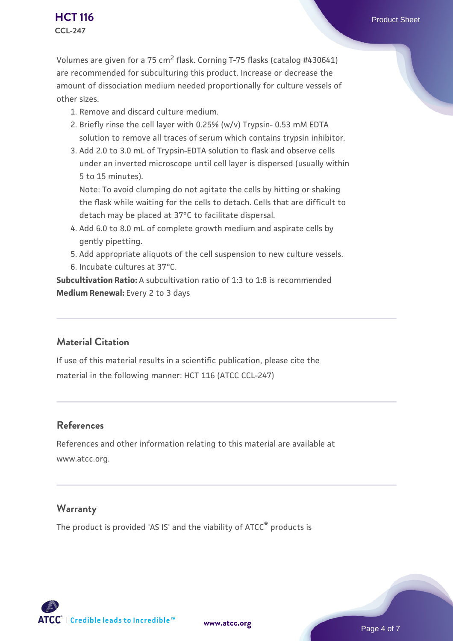Volumes are given for a 75 cm2 flask. Corning T-75 flasks (catalog #430641) are recommended for subculturing this product. Increase or decrease the amount of dissociation medium needed proportionally for culture vessels of other sizes.

- 1. Remove and discard culture medium.
- 2. Briefly rinse the cell layer with 0.25% (w/v) Trypsin- 0.53 mM EDTA solution to remove all traces of serum which contains trypsin inhibitor.
- 3. Add 2.0 to 3.0 mL of Trypsin-EDTA solution to flask and observe cells under an inverted microscope until cell layer is dispersed (usually within 5 to 15 minutes).

Note: To avoid clumping do not agitate the cells by hitting or shaking the flask while waiting for the cells to detach. Cells that are difficult to detach may be placed at 37°C to facilitate dispersal.

- Add 6.0 to 8.0 mL of complete growth medium and aspirate cells by 4. gently pipetting.
- 5. Add appropriate aliquots of the cell suspension to new culture vessels.
- 6. Incubate cultures at 37°C.

**Subcultivation Ratio:** A subcultivation ratio of 1:3 to 1:8 is recommended **Medium Renewal:** Every 2 to 3 days

# **Material Citation**

If use of this material results in a scientific publication, please cite the material in the following manner: HCT 116 (ATCC CCL-247)

# **References**

References and other information relating to this material are available at www.atcc.org.

# **Warranty**

The product is provided 'AS IS' and the viability of ATCC® products is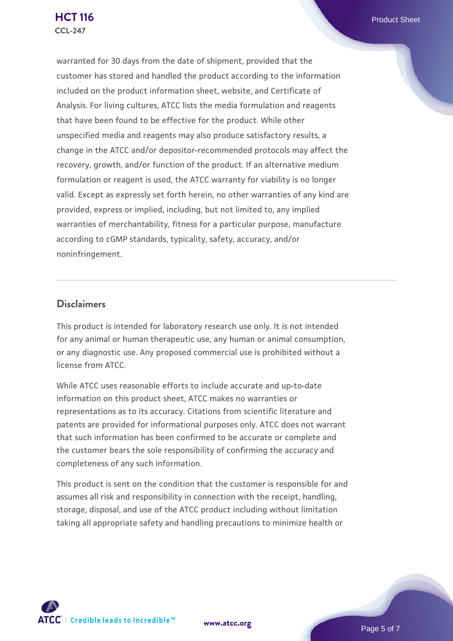warranted for 30 days from the date of shipment, provided that the customer has stored and handled the product according to the information included on the product information sheet, website, and Certificate of Analysis. For living cultures, ATCC lists the media formulation and reagents that have been found to be effective for the product. While other unspecified media and reagents may also produce satisfactory results, a change in the ATCC and/or depositor-recommended protocols may affect the recovery, growth, and/or function of the product. If an alternative medium formulation or reagent is used, the ATCC warranty for viability is no longer valid. Except as expressly set forth herein, no other warranties of any kind are provided, express or implied, including, but not limited to, any implied warranties of merchantability, fitness for a particular purpose, manufacture according to cGMP standards, typicality, safety, accuracy, and/or noninfringement.

### **Disclaimers**

This product is intended for laboratory research use only. It is not intended for any animal or human therapeutic use, any human or animal consumption, or any diagnostic use. Any proposed commercial use is prohibited without a license from ATCC.

While ATCC uses reasonable efforts to include accurate and up-to-date information on this product sheet, ATCC makes no warranties or representations as to its accuracy. Citations from scientific literature and patents are provided for informational purposes only. ATCC does not warrant that such information has been confirmed to be accurate or complete and the customer bears the sole responsibility of confirming the accuracy and completeness of any such information.

This product is sent on the condition that the customer is responsible for and assumes all risk and responsibility in connection with the receipt, handling, storage, disposal, and use of the ATCC product including without limitation taking all appropriate safety and handling precautions to minimize health or



**[www.atcc.org](http://www.atcc.org)**

Page 5 of 7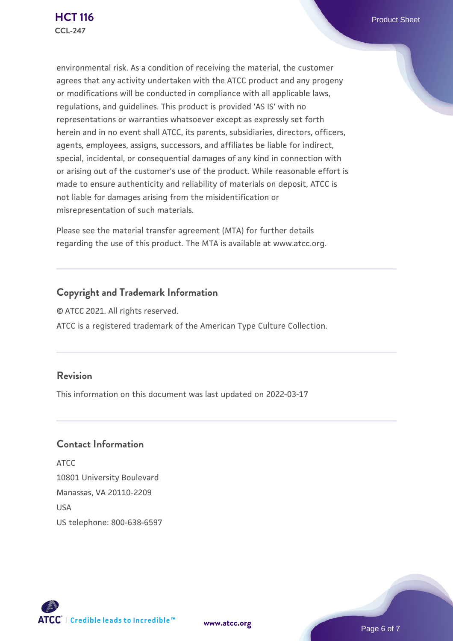environmental risk. As a condition of receiving the material, the customer agrees that any activity undertaken with the ATCC product and any progeny or modifications will be conducted in compliance with all applicable laws, regulations, and guidelines. This product is provided 'AS IS' with no representations or warranties whatsoever except as expressly set forth herein and in no event shall ATCC, its parents, subsidiaries, directors, officers, agents, employees, assigns, successors, and affiliates be liable for indirect, special, incidental, or consequential damages of any kind in connection with or arising out of the customer's use of the product. While reasonable effort is made to ensure authenticity and reliability of materials on deposit, ATCC is not liable for damages arising from the misidentification or misrepresentation of such materials.

Please see the material transfer agreement (MTA) for further details regarding the use of this product. The MTA is available at www.atcc.org.

# **Copyright and Trademark Information**

© ATCC 2021. All rights reserved. ATCC is a registered trademark of the American Type Culture Collection.

# **Revision**

This information on this document was last updated on 2022-03-17

### **Contact Information**

ATCC 10801 University Boulevard Manassas, VA 20110-2209 **IISA** US telephone: 800-638-6597